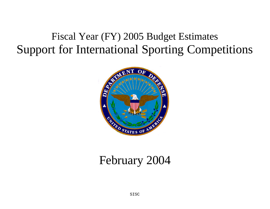# Fiscal Year (FY) 2005 Budget Estimates Support for International Sporting Competitions



## February 2004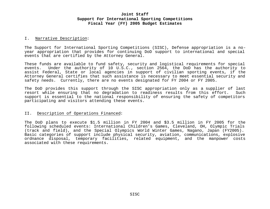#### I. Narrative Description:

The Support for International Sporting Competitions (SISC), Defense appropriation is a noyear appropriation that provides for continuing DoD support to international and special events that are certified by the Attorney General.

These funds are available to fund safety, security and logistical requirements for special events. Under the authority of 10 U.S.C., section 2564, the DoD has the authority to assist Federal, State or local agencies in support of civilian sporting events, if the Attorney General certifies that such assistance is necessary to meet essential security and safety needs. Currently, there are no events designated for FY 2004 or FY 2005.

The DoD provides this support through the SISC appropriation only as a supplier of last resort while ensuring that no degradation to readiness results from this effort. Such support is essential to the national responsibility of ensuring the safety of competitors participating and visitors attending these events.

#### II. Description of Operations Financed:

The DoD plans to execute \$1.5 million in FY 2004 and \$3.5 million in FY 2005 for the following scheduled events: International Children's Games, Cleveland, OH, Olympic Trials (track and field), and the Special Olympics World Winter Games, Nagano, Japan (FY2005). Basic categories of support include physical security, aviation, communications, explosive ordnance disposal, temporary facilities, related equipment, and the manpower costs associated with these requirements.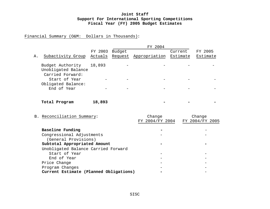## Financial Summary (O&M: Dollars in Thousands):

|    |                                                             | FY 2003 | Budget  |                           | Current  | FY 2005                   |  |
|----|-------------------------------------------------------------|---------|---------|---------------------------|----------|---------------------------|--|
| Α. | Subactivity Group                                           | Actuals | Request | Appropriation             | Estimate | Estimate                  |  |
|    | Budget Authority<br>Unobligated Balance<br>Carried Forward: | 18,893  |         |                           |          |                           |  |
|    | Start of Year                                               |         |         |                           |          |                           |  |
|    | Obligated Balance:<br>End of Year                           |         |         |                           |          |                           |  |
|    | Total Program                                               | 18,893  |         |                           |          |                           |  |
|    | B. Reconciliation Summary:                                  |         |         | Change<br>FY 2004/FY 2004 |          | Change<br>FY 2004/FY 2005 |  |
|    | Baseline Funding                                            |         |         |                           |          |                           |  |

| Congressional Adjustments              |  |
|----------------------------------------|--|
| (General Provisions)                   |  |
| Subtotal Appropriated Amount           |  |
| Unobligated Balance Carried Forward    |  |
| Start of Year                          |  |
| End of Year                            |  |
| Price Change                           |  |
| Program Changes                        |  |
| Current Estimate (Planned Obligations) |  |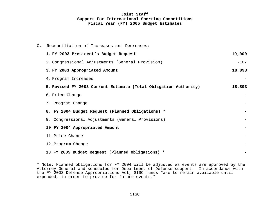| C. Reconciliation of Increases and Decreases:                    |        |
|------------------------------------------------------------------|--------|
| 1. FY 2003 President's Budget Request                            | 19,000 |
| 2. Congressional Adjustments (General Provision)                 | $-107$ |
| 3. FY 2003 Appropriated Amount                                   | 18,893 |
| 4. Program Increases                                             |        |
| 5. Revised FY 2003 Current Estimate (Total Obligation Authority) | 18,893 |
| 6. Price Change                                                  |        |
| 7. Program Change                                                |        |
| 8. FY 2004 Budget Request (Planned Obligations) *                |        |
| 9. Congressional Adjustments (General Provisions)                |        |
| 10. FY 2004 Appropriated Amount                                  |        |
| 11. Price Change                                                 |        |
| 12. Program Change                                               |        |
| 13. FY 2005 Budget Request (Planned Obligations) *               |        |

\* Note: Planned obligations for FY 2004 will be adjusted as events are approved by the Attorney General and scheduled for Department of Defense support. In accordance with the FY 2003 Defense Appropriations Act, SISC funds "are to remain available until expended, in order to provide for future events."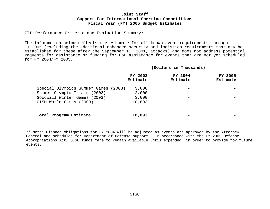#### III. Performance Criteria and Evaluation Summary:

The information below reflects the estimate for all known event requirements through FY 2005 (excluding the additional enhanced security and logistics requirements that may be established for these after the September 11, 2001, attacks) and does not address potential requests for assistance or funding for DoD assistance for events that are not yet scheduled for FY 2004/FY 2005.

#### **(Dollars in Thousands)**

|                                      | FY 2003<br>Estimate | FY 2004<br>Estimate | FY 2005<br>Estimate |
|--------------------------------------|---------------------|---------------------|---------------------|
| Special Olympics Summer Games (2003) | 3,000               |                     |                     |
| Summer Olympic Trials (2003)         | 2,000               |                     |                     |
| Goodwill Winter Games (2003)         | 3,000               |                     |                     |
| CISM World Games (2003)              | 10,893              |                     |                     |
| Total Program Estimate               | 18,893              |                     |                     |

\*\* Note: Planned obligations for FY 2004 will be adjusted as events are approved by the Attorney General and scheduled for Department of Defense support. In accordance with the FY 2003 Defense Appropriations Act, SISC funds "are to remain available until expended, in order to provide for future events."